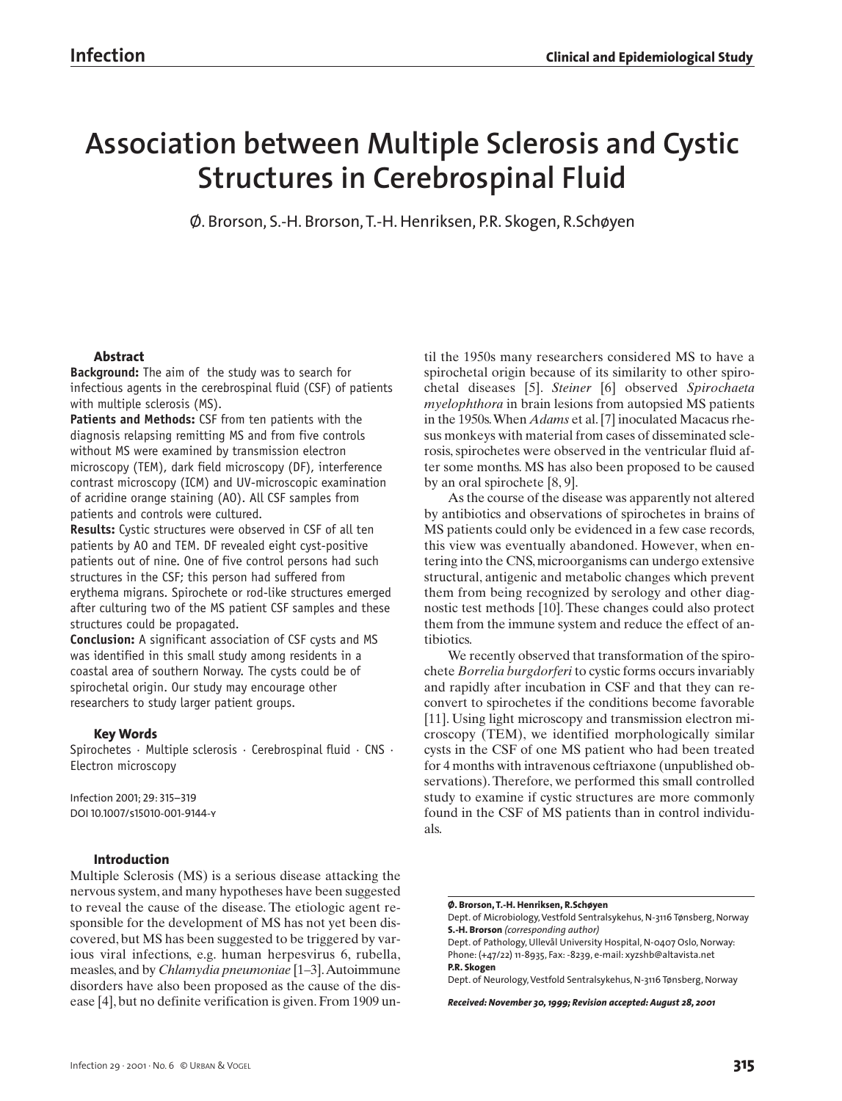# **Association between Multiple Sclerosis and Cystic Structures in Cerebrospinal Fluid**

Ø. Brorson, S.-H. Brorson, T.-H. Henriksen, P.R. Skogen, R.Schøyen

# **Abstract**

**Background:** The aim of the study was to search for infectious agents in the cerebrospinal fluid (CSF) of patients with multiple sclerosis (MS).

**Patients and Methods:** CSF from ten patients with the diagnosis relapsing remitting MS and from five controls without MS were examined by transmission electron microscopy (TEM), dark field microscopy (DF), interference contrast microscopy (ICM) and UV-microscopic examination of acridine orange staining (AO). All CSF samples from patients and controls were cultured.

**Results:** Cystic structures were observed in CSF of all ten patients by AO and TEM. DF revealed eight cyst-positive patients out of nine. One of five control persons had such structures in the CSF; this person had suffered from erythema migrans. Spirochete or rod-like structures emerged after culturing two of the MS patient CSF samples and these structures could be propagated.

**Conclusion:** A significant association of CSF cysts and MS was identified in this small study among residents in a coastal area of southern Norway. The cysts could be of spirochetal origin. Our study may encourage other researchers to study larger patient groups.

# **Key Words**

Spirochetes · Multiple sclerosis · Cerebrospinal fluid · CNS · Electron microscopy

Infection 2001; 29: 315–319 DOI 10.1007/s15010-001-9144-y

# **Introduction**

Multiple Sclerosis (MS) is a serious disease attacking the nervous system, and many hypotheses have been suggested to reveal the cause of the disease. The etiologic agent responsible for the development of MS has not yet been discovered, but MS has been suggested to be triggered by various viral infections, e.g. human herpesvirus 6, rubella, measles, and by *Chlamydia pneumoniae* [1–3].Autoimmune disorders have also been proposed as the cause of the disease [4], but no definite verification is given. From 1909 until the 1950s many researchers considered MS to have a spirochetal origin because of its similarity to other spirochetal diseases [5]. *Steiner* [6] observed *Spirochaeta myelophthora* in brain lesions from autopsied MS patients in the 1950s.When *Adams* et al. [7] inoculated Macacus rhesus monkeys with material from cases of disseminated sclerosis, spirochetes were observed in the ventricular fluid after some months. MS has also been proposed to be caused by an oral spirochete [8, 9].

As the course of the disease was apparently not altered by antibiotics and observations of spirochetes in brains of MS patients could only be evidenced in a few case records, this view was eventually abandoned. However, when entering into the CNS, microorganisms can undergo extensive structural, antigenic and metabolic changes which prevent them from being recognized by serology and other diagnostic test methods [10]. These changes could also protect them from the immune system and reduce the effect of antibiotics.

We recently observed that transformation of the spirochete *Borrelia burgdorferi* to cystic forms occurs invariably and rapidly after incubation in CSF and that they can reconvert to spirochetes if the conditions become favorable [11]. Using light microscopy and transmission electron microscopy (TEM), we identified morphologically similar cysts in the CSF of one MS patient who had been treated for 4 months with intravenous ceftriaxone (unpublished observations). Therefore, we performed this small controlled study to examine if cystic structures are more commonly found in the CSF of MS patients than in control individuals.

#### **Ø. Brorson, T.-H. Henriksen, R.Schøyen**

Dept. of Microbiology, Vestfold Sentralsykehus, N-3116 Tønsberg, Norway **S.-H. Brorson** *(corresponding author)*

Dept. of Pathology, Ullevål University Hospital, N-0407 Oslo, Norway: Phone: (+47/22) 11-8935, Fax: -8239, e-mail: xyzshb@altavista.net **P.R. Skogen**

Dept. of Neurology, Vestfold Sentralsykehus, N-3116 Tønsberg, Norway

*Received: November 30, 1999; Revision accepted: August 28, 2001*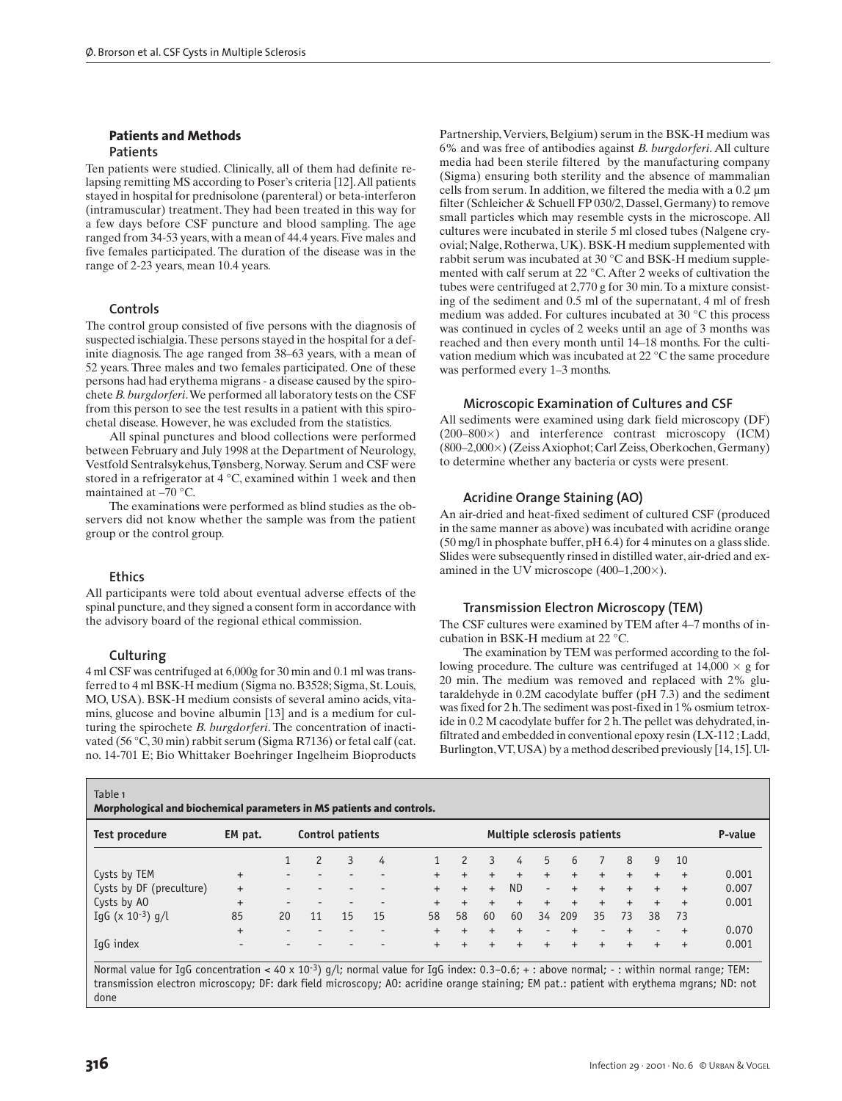## **Patients and Methods Patients**

Ten patients were studied. Clinically, all of them had definite relapsing remitting MS according to Poser's criteria [12].All patients stayed in hospital for prednisolone (parenteral) or beta-interferon (intramuscular) treatment. They had been treated in this way for a few days before CSF puncture and blood sampling. The age ranged from 34-53 years, with a mean of 44.4 years. Five males and five females participated. The duration of the disease was in the range of 2-23 years, mean 10.4 years.

## **Controls**

The control group consisted of five persons with the diagnosis of suspected ischialgia.These persons stayed in the hospital for a definite diagnosis. The age ranged from 38–63 years, with a mean of 52 years. Three males and two females participated. One of these persons had had erythema migrans - a disease caused by the spirochete *B. burgdorferi*.We performed all laboratory tests on the CSF from this person to see the test results in a patient with this spirochetal disease. However, he was excluded from the statistics.

All spinal punctures and blood collections were performed between February and July 1998 at the Department of Neurology, Vestfold Sentralsykehus,Tønsberg, Norway. Serum and CSF were stored in a refrigerator at 4 °C, examined within 1 week and then maintained at –70 °C.

The examinations were performed as blind studies as the observers did not know whether the sample was from the patient group or the control group.

## **Ethics**

All participants were told about eventual adverse effects of the spinal puncture, and they signed a consent form in accordance with the advisory board of the regional ethical commission.

## **Culturing**

4 ml CSF was centrifuged at 6,000g for 30 min and 0.1 ml was transferred to 4 ml BSK-H medium (Sigma no. B3528; Sigma, St. Louis, MO, USA). BSK-H medium consists of several amino acids, vitamins, glucose and bovine albumin [13] and is a medium for culturing the spirochete *B. burgdorferi*. The concentration of inactivated (56 °C, 30 min) rabbit serum (Sigma R7136) or fetal calf (cat. no. 14-701 E; Bio Whittaker Boehringer Ingelheim Bioproducts

Partnership, Verviers, Belgium) serum in the BSK-H medium was 6% and was free of antibodies against *B. burgdorferi*. All culture media had been sterile filtered by the manufacturing company (Sigma) ensuring both sterility and the absence of mammalian cells from serum. In addition, we filtered the media with a 0.2 µm filter (Schleicher & Schuell FP 030/2, Dassel, Germany) to remove small particles which may resemble cysts in the microscope. All cultures were incubated in sterile 5 ml closed tubes (Nalgene cryovial; Nalge, Rotherwa, UK). BSK-H medium supplemented with rabbit serum was incubated at 30 °C and BSK-H medium supplemented with calf serum at 22 °C. After 2 weeks of cultivation the tubes were centrifuged at 2,770 g for 30 min.To a mixture consisting of the sediment and 0.5 ml of the supernatant, 4 ml of fresh medium was added. For cultures incubated at 30 °C this process was continued in cycles of 2 weeks until an age of 3 months was reached and then every month until 14–18 months. For the cultivation medium which was incubated at 22 °C the same procedure was performed every 1–3 months.

## **Microscopic Examination of Cultures and CSF**

All sediments were examined using dark field microscopy (DF) (200–800) and interference contrast microscopy (ICM) (800–2,000) (Zeiss Axiophot; Carl Zeiss, Oberkochen, Germany) to determine whether any bacteria or cysts were present.

# **Acridine Orange Staining (AO)**

An air-dried and heat-fixed sediment of cultured CSF (produced in the same manner as above) was incubated with acridine orange (50 mg/l in phosphate buffer, pH 6.4) for 4 minutes on a glass slide. Slides were subsequently rinsed in distilled water, air-dried and examined in the UV microscope  $(400-1,200\times)$ .

#### **Transmission Electron Microscopy (TEM)**

The CSF cultures were examined by TEM after 4–7 months of incubation in BSK-H medium at 22 °C.

The examination by TEM was performed according to the following procedure. The culture was centrifuged at  $14,000 \times g$  for 20 min. The medium was removed and replaced with 2% glutaraldehyde in 0.2M cacodylate buffer (pH 7.3) and the sediment was fixed for 2 h.The sediment was post-fixed in 1% osmium tetroxide in 0.2 M cacodylate buffer for 2 h.The pellet was dehydrated, infiltrated and embedded in conventional epoxy resin (LX-112 ;Ladd, Burlington,VT,USA) by a method described previously [14,15].Ul-

| Test procedure           | EM pat.   | Control patients |                |    |    | Multiple sclerosis patients |     |           |           |                          |     |                          |     |                          |                | P-value |
|--------------------------|-----------|------------------|----------------|----|----|-----------------------------|-----|-----------|-----------|--------------------------|-----|--------------------------|-----|--------------------------|----------------|---------|
|                          |           |                  | $\overline{c}$ | 3  | 4  |                             | 2   | 3         | 4         | 5                        | 6   |                          | 8   | 9                        | 10             |         |
| Cysts by TEM             | $+$       |                  |                |    |    | $+$                         | $+$ | $+$       | $+$       | $+$                      | $+$ | $+$                      | $+$ | $+$                      | $+$            | 0.001   |
| Cysts by DF (preculture) | $+$       |                  |                |    |    | $+$                         | $+$ | $+$       | <b>ND</b> | $\overline{\phantom{a}}$ | $+$ | $+$                      | $+$ | $+$                      | $\ddot{}$      | 0.007   |
| Cysts by AO              | $\ddot{}$ |                  |                |    |    | $\ddot{}$                   | $+$ | $\ddot{}$ | $+$       | $\ddot{}$                | $+$ | $+$                      | $+$ | $+$                      | $+$            | 0.001   |
| IgG $(x 10^{-3})$ g/l    | 85        | 20               | 11             | 15 | 15 | 58                          | 58  | 60        | 60        | 34                       | 209 | 35                       | 73  | 38                       | 73             |         |
|                          | $\ddot{}$ |                  |                |    |    | $\ddot{}$                   | $+$ | $+$       | $+$       | $\overline{\phantom{a}}$ | $+$ | $\overline{\phantom{a}}$ | $+$ | $\overline{\phantom{0}}$ | $\overline{+}$ | 0.070   |
| IgG index                |           |                  |                |    |    | $\ddot{}$                   | $+$ | $+$       | $+$       | $+$                      | $+$ | $+$                      | $+$ | $+$                      | $\ddot{}$      | 0.001   |

transmission electron microscopy; DF: dark field microscopy; AO: acridine orange staining; EM pat.: patient with erythema mgrans; ND: not done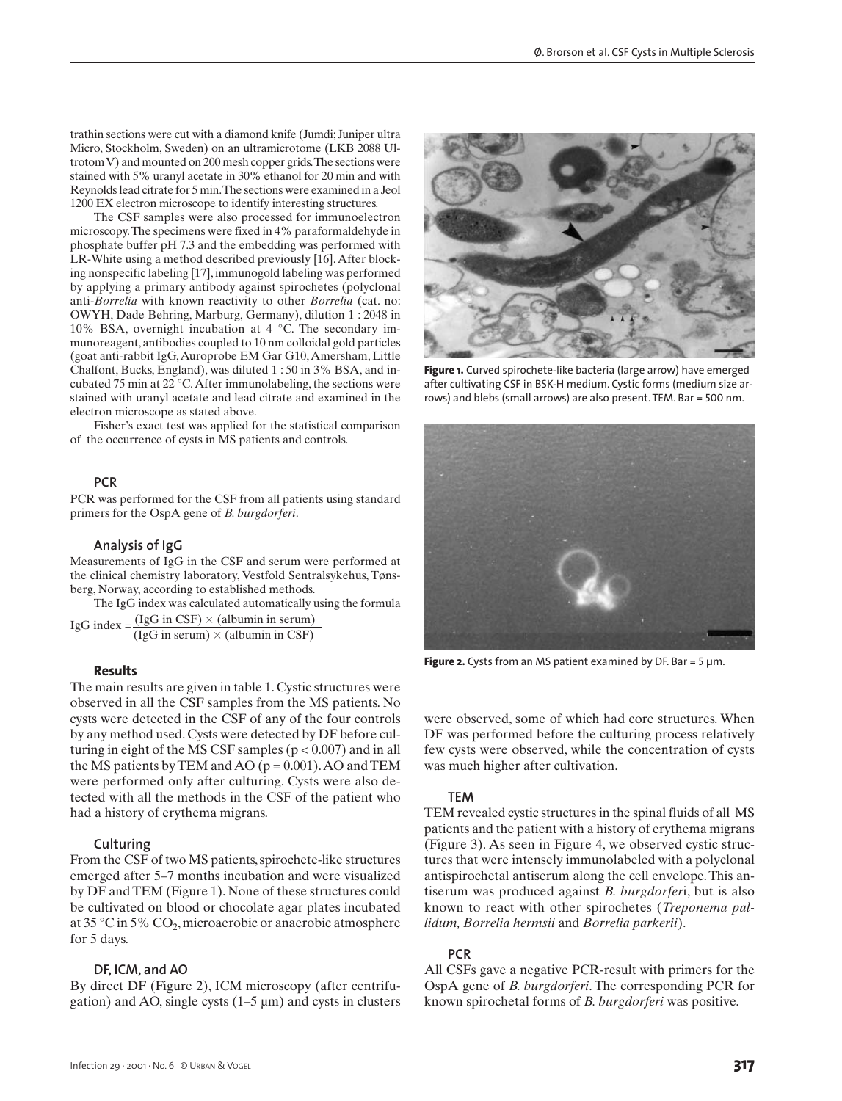trathin sections were cut with a diamond knife (Jumdi; Juniper ultra Micro, Stockholm, Sweden) on an ultramicrotome (LKB 2088 Ultrotom V) and mounted on 200 mesh copper grids.The sections were stained with 5% uranyl acetate in 30% ethanol for 20 min and with Reynolds lead citrate for 5 min.The sections were examined in a Jeol 1200 EX electron microscope to identify interesting structures.

The CSF samples were also processed for immunoelectron microscopy.The specimens were fixed in 4% paraformaldehyde in phosphate buffer pH 7.3 and the embedding was performed with LR-White using a method described previously [16]. After blocking nonspecific labeling [17], immunogold labeling was performed by applying a primary antibody against spirochetes (polyclonal anti-*Borrelia* with known reactivity to other *Borrelia* (cat. no: OWYH, Dade Behring, Marburg, Germany), dilution 1 : 2048 in 10% BSA, overnight incubation at 4 °C. The secondary immunoreagent, antibodies coupled to 10 nm colloidal gold particles (goat anti-rabbit IgG,Auroprobe EM Gar G10,Amersham, Little Chalfont, Bucks, England), was diluted 1 : 50 in 3% BSA, and incubated 75 min at 22 °C.After immunolabeling, the sections were stained with uranyl acetate and lead citrate and examined in the electron microscope as stated above.

Fisher's exact test was applied for the statistical comparison of the occurrence of cysts in MS patients and controls.

## **PCR**

PCR was performed for the CSF from all patients using standard primers for the OspA gene of *B. burgdorferi*.

#### **Analysis of IgG**

Measurements of IgG in the CSF and serum were performed at the clinical chemistry laboratory, Vestfold Sentralsykehus, Tønsberg, Norway, according to established methods.

The IgG index was calculated automatically using the formula IgG index =  $\frac{(IgG \text{ in CSF}) \times (albumin in serum)}{4}$ 

(IgG in serum)  $\times$  (albumin in CSF)

#### **Results**

The main results are given in table 1. Cystic structures were observed in all the CSF samples from the MS patients. No cysts were detected in the CSF of any of the four controls by any method used. Cysts were detected by DF before culturing in eight of the MS CSF samples ( $p < 0.007$ ) and in all the MS patients by TEM and AO ( $p = 0.001$ ). AO and TEM were performed only after culturing. Cysts were also detected with all the methods in the CSF of the patient who had a history of erythema migrans.

#### **Culturing**

From the CSF of two MS patients, spirochete-like structures emerged after 5–7 months incubation and were visualized by DF and TEM (Figure 1). None of these structures could be cultivated on blood or chocolate agar plates incubated at 35 °C in 5%  $CO_2$ , microaerobic or anaerobic atmosphere for 5 days.

#### **DF, ICM, and AO**

By direct DF (Figure 2), ICM microscopy (after centrifugation) and AO, single cysts  $(1-5 \mu m)$  and cysts in clusters



**Figure 1.** Curved spirochete-like bacteria (large arrow) have emerged after cultivating CSF in BSK-H medium. Cystic forms (medium size arrows) and blebs (small arrows) are also present. TEM. Bar = 500 nm.



**Figure 2.** Cysts from an MS patient examined by DF. Bar =  $5 \mu m$ .

were observed, some of which had core structures. When DF was performed before the culturing process relatively few cysts were observed, while the concentration of cysts was much higher after cultivation.

#### **TEM**

TEM revealed cystic structures in the spinal fluids of all MS patients and the patient with a history of erythema migrans (Figure 3). As seen in Figure 4, we observed cystic structures that were intensely immunolabeled with a polyclonal antispirochetal antiserum along the cell envelope. This antiserum was produced against *B. burgdorfer*i, but is also known to react with other spirochetes (*Treponema pallidum, Borrelia hermsii* and *Borrelia parkerii*).

#### **PCR**

All CSFs gave a negative PCR-result with primers for the OspA gene of *B. burgdorferi*. The corresponding PCR for known spirochetal forms of *B. burgdorferi* was positive.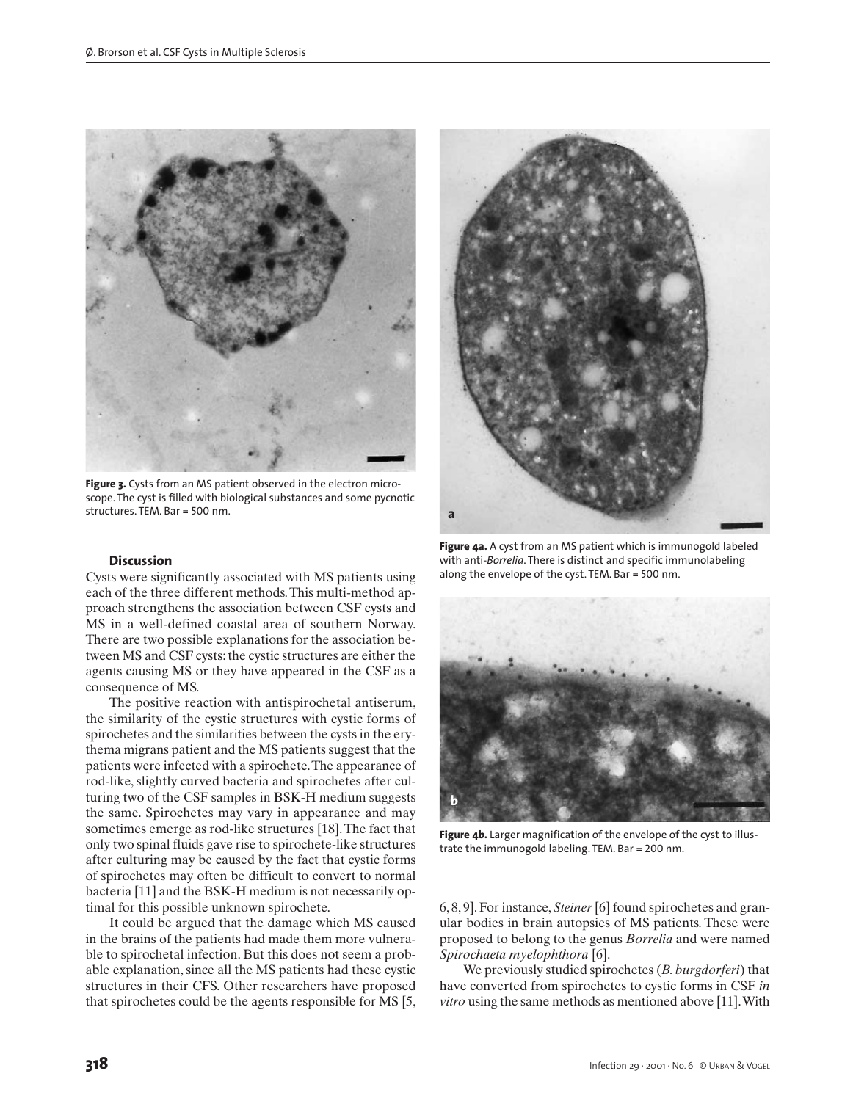

**Figure 3.** Cysts from an MS patient observed in the electron microscope. The cyst is filled with biological substances and some pycnotic structures. TEM. Bar = 500 nm.

#### **Discussion**

Cysts were significantly associated with MS patients using each of the three different methods.This multi-method approach strengthens the association between CSF cysts and MS in a well-defined coastal area of southern Norway. There are two possible explanations for the association between MS and CSF cysts: the cystic structures are either the agents causing MS or they have appeared in the CSF as a consequence of MS.

The positive reaction with antispirochetal antiserum, the similarity of the cystic structures with cystic forms of spirochetes and the similarities between the cysts in the erythema migrans patient and the MS patients suggest that the patients were infected with a spirochete.The appearance of rod-like, slightly curved bacteria and spirochetes after culturing two of the CSF samples in BSK-H medium suggests the same. Spirochetes may vary in appearance and may sometimes emerge as rod-like structures [18].The fact that only two spinal fluids gave rise to spirochete-like structures after culturing may be caused by the fact that cystic forms of spirochetes may often be difficult to convert to normal bacteria [11] and the BSK-H medium is not necessarily optimal for this possible unknown spirochete.

It could be argued that the damage which MS caused in the brains of the patients had made them more vulnerable to spirochetal infection. But this does not seem a probable explanation, since all the MS patients had these cystic structures in their CFS. Other researchers have proposed that spirochetes could be the agents responsible for MS [5,



**Figure 4a.** A cyst from an MS patient which is immunogold labeled with anti-*Borrelia*. There is distinct and specific immunolabeling along the envelope of the cyst. TEM. Bar = 500 nm.



Figure 4b. Larger magnification of the envelope of the cyst to illustrate the immunogold labeling. TEM. Bar = 200 nm.

6, 8, 9]. For instance, *Steiner* [6] found spirochetes and granular bodies in brain autopsies of MS patients. These were proposed to belong to the genus *Borrelia* and were named *Spirochaeta myelophthora* [6].

We previously studied spirochetes (*B. burgdorferi*) that have converted from spirochetes to cystic forms in CSF *in vitro* using the same methods as mentioned above [11].With